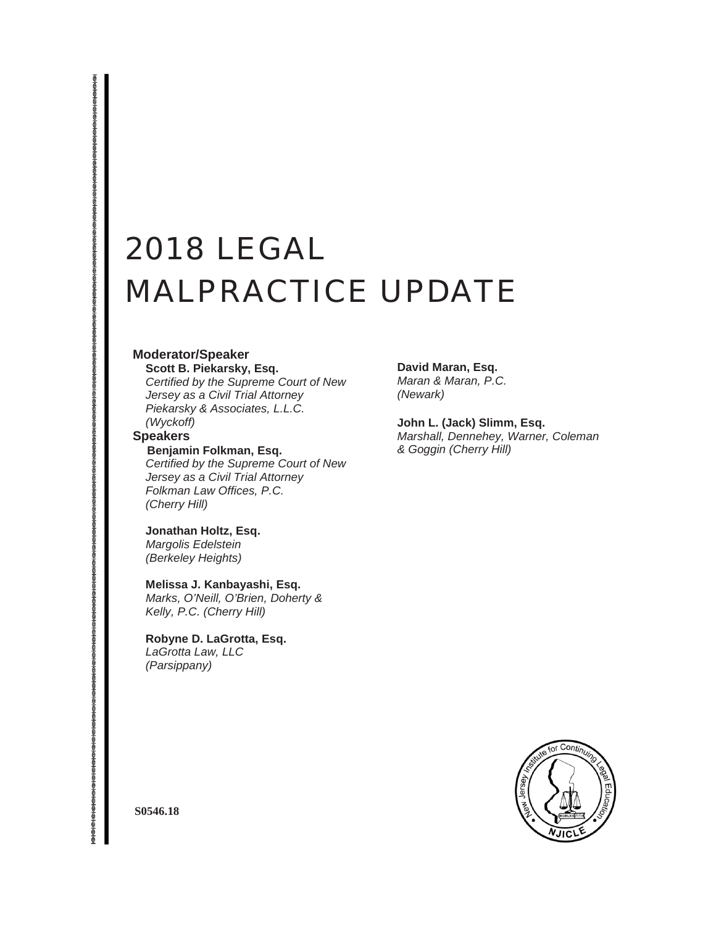# 2018 LEGAL MALPRACTICE UPDATE

## **Moderator/Speaker**

## **Scott B. Piekarsky, Esq.**

*Certified by the Supreme Court of New Jersey as a Civil Trial Attorney Piekarsky & Associates, L.L.C. (Wyckoff)*

## **Speakers**

 **Benjamin Folkman, Esq.**

*Certified by the Supreme Court of New Jersey as a Civil Trial Attorney Folkman Law Offices, P.C. (Cherry Hill)*

### **Jonathan Holtz, Esq.**

*Margolis Edelstein (Berkeley Heights)*

## **Melissa J. Kanbayashi, Esq.** *Marks, O'Neill, O'Brien, Doherty & Kelly, P.C. (Cherry Hill)*

**Robyne D. LaGrotta, Esq.** *LaGrotta Law, LLC (Parsippany)*

#### **David Maran, Esq.**

*Maran & Maran, P.C. (Newark)*

**John L. (Jack) Slimm, Esq.** *Marshall, Dennehey, Warner, Coleman & Goggin (Cherry Hill)*



**S0546.18**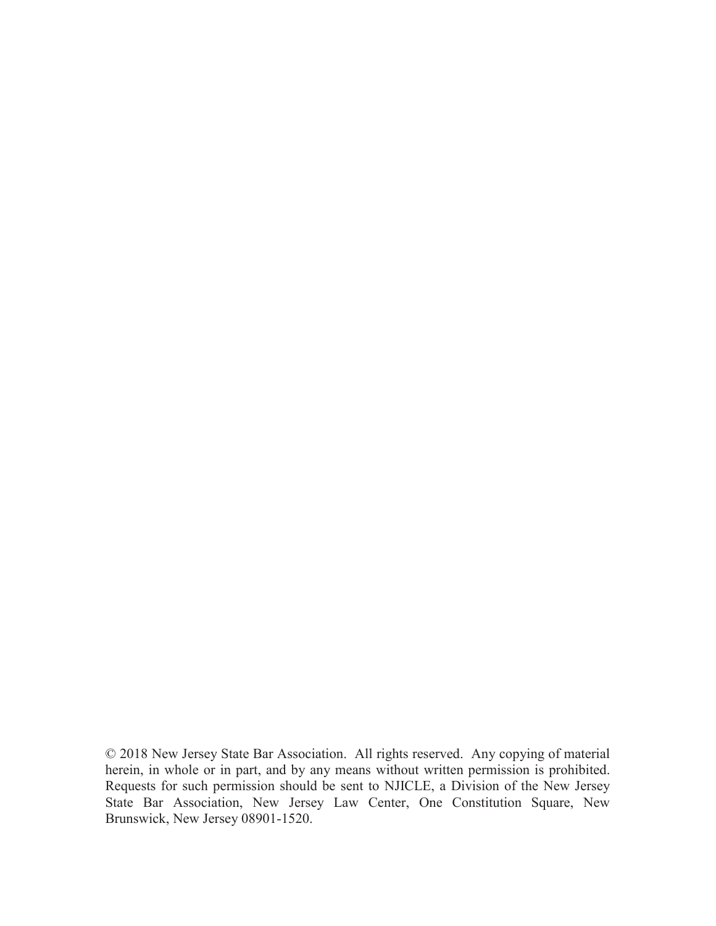© 2018 New Jersey State Bar Association. All rights reserved. Any copying of material herein, in whole or in part, and by any means without written permission is prohibited.<br>Requests for such permission should be sent to NJICLE, a Division of the New Jersey State Bar Association, New Jersey Law Center, One Constitution Square, New Brunswick, New Jersey 08901-1520.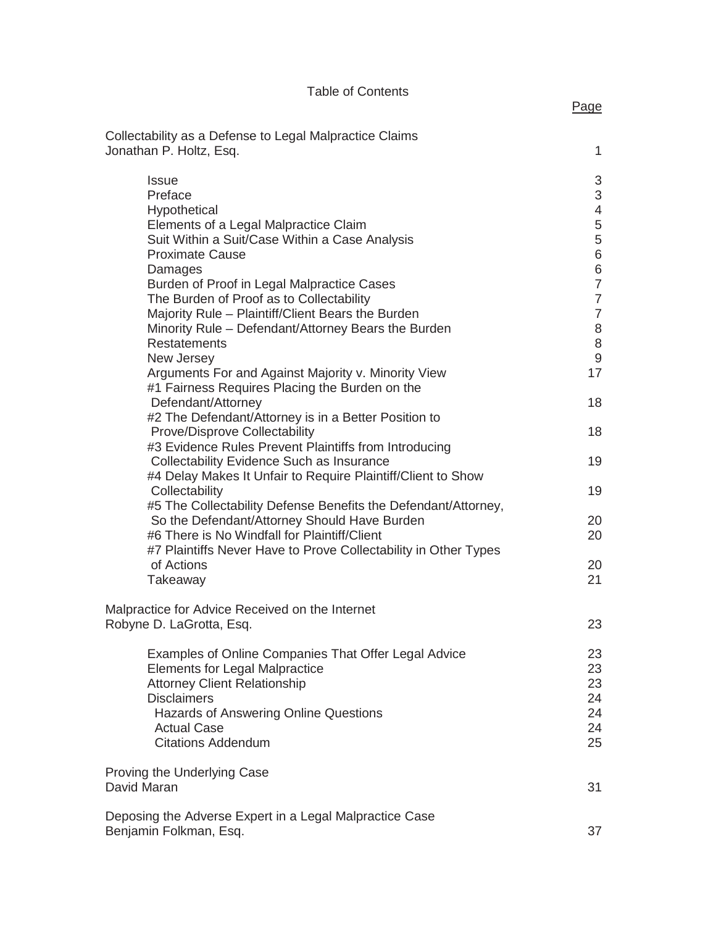| Collectability as a Defense to Legal Malpractice Claims                                                          |                             |
|------------------------------------------------------------------------------------------------------------------|-----------------------------|
| Jonathan P. Holtz, Esq.                                                                                          | $\mathbf 1$                 |
| <b>Issue</b>                                                                                                     | 3                           |
| Preface                                                                                                          | $\sqrt{3}$                  |
| Hypothetical                                                                                                     | 4                           |
| Elements of a Legal Malpractice Claim                                                                            | 5                           |
| Suit Within a Suit/Case Within a Case Analysis<br><b>Proximate Cause</b>                                         | 5<br>6                      |
| Damages                                                                                                          | 6                           |
| Burden of Proof in Legal Malpractice Cases                                                                       | $\overline{7}$              |
| The Burden of Proof as to Collectability                                                                         | $\overline{7}$              |
| Majority Rule - Plaintiff/Client Bears the Burden                                                                | $\overline{7}$              |
| Minority Rule - Defendant/Attorney Bears the Burden                                                              | 8                           |
| <b>Restatements</b><br>New Jersey                                                                                | $\,8\,$<br>$\boldsymbol{9}$ |
| Arguments For and Against Majority v. Minority View                                                              | 17                          |
| #1 Fairness Requires Placing the Burden on the                                                                   |                             |
| Defendant/Attorney                                                                                               | 18                          |
| #2 The Defendant/Attorney is in a Better Position to                                                             |                             |
| Prove/Disprove Collectability                                                                                    | 18                          |
| #3 Evidence Rules Prevent Plaintiffs from Introducing                                                            |                             |
| <b>Collectability Evidence Such as Insurance</b><br>#4 Delay Makes It Unfair to Require Plaintiff/Client to Show | 19                          |
| Collectability                                                                                                   | 19                          |
| #5 The Collectability Defense Benefits the Defendant/Attorney,                                                   |                             |
| So the Defendant/Attorney Should Have Burden                                                                     | 20                          |
| #6 There is No Windfall for Plaintiff/Client                                                                     | 20                          |
| #7 Plaintiffs Never Have to Prove Collectability in Other Types                                                  |                             |
| of Actions<br>Takeaway                                                                                           | 20<br>21                    |
|                                                                                                                  |                             |
| Malpractice for Advice Received on the Internet                                                                  |                             |
| Robyne D. LaGrotta, Esq.                                                                                         | 23                          |
|                                                                                                                  |                             |
| Examples of Online Companies That Offer Legal Advice                                                             | 23                          |
| <b>Elements for Legal Malpractice</b><br><b>Attorney Client Relationship</b>                                     | 23<br>23                    |
| <b>Disclaimers</b>                                                                                               | 24                          |
| <b>Hazards of Answering Online Questions</b>                                                                     | 24                          |
| <b>Actual Case</b>                                                                                               | 24                          |
| <b>Citations Addendum</b>                                                                                        | 25                          |
| Proving the Underlying Case                                                                                      |                             |
| David Maran                                                                                                      | 31                          |
|                                                                                                                  |                             |
| Deposing the Adverse Expert in a Legal Malpractice Case<br>Benjamin Folkman, Esq.                                | 37                          |
|                                                                                                                  |                             |